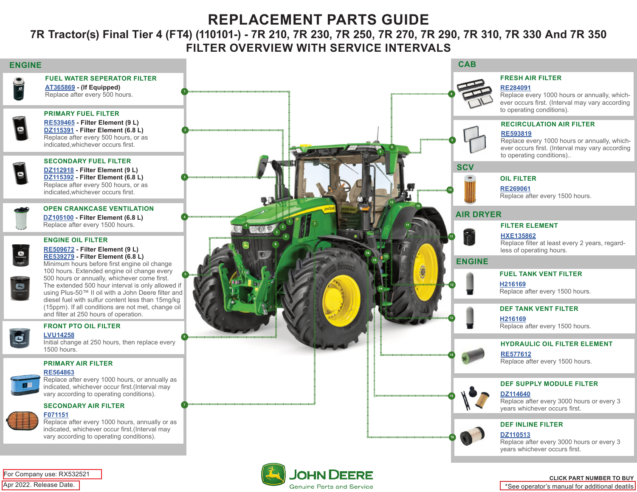# **REPLACEMENT PARTS GUIDE**

### **7R Tractor(s) Final Tier 4 (FT4) (110101-) - 7R 210, 7R 230, 7R 250, 7R 270, 7R 290, 7R 310, 7R 330 And 7R 350 FILTER OVERVIEW WITH SERVICE INTERVALS**



**Genuine Parts and Service** 

\*See operator's manual for additional deatils

Apr 2022. Release Date.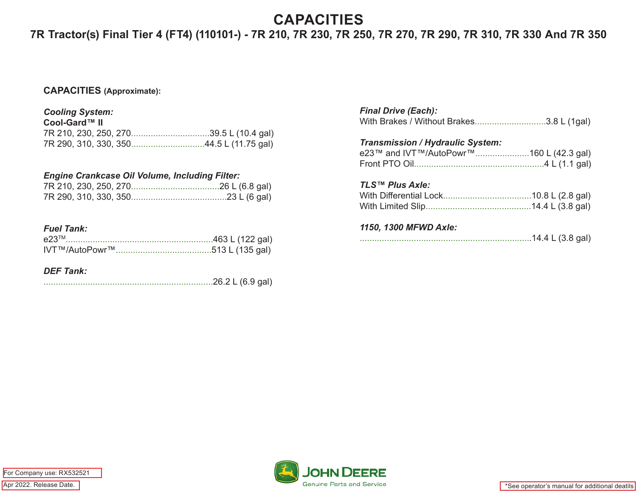## **CAPACITIES**

## **7R Tractor(s) Final Tier 4 (FT4) (110101-) - 7R 210, 7R 230, 7R 250, 7R 270, 7R 290, 7R 310, 7R 330 And 7R 350**

#### **CAPACITIES (Approximate):**

#### *Cooling System:*

| Cool-Gard™ II |  |
|---------------|--|
|               |  |
|               |  |

#### *Engine Crankcase Oil Volume, Including Filter:*

#### *Fuel Tank:*

| e23 <sup>TM</sup> |  |
|-------------------|--|
|                   |  |

#### *DEF Tank:*

|--|--|--|--|

| <b>Final Drive (Each):</b><br>With Brakes / Without Brakes3.8 L (1gal)             |  |
|------------------------------------------------------------------------------------|--|
| <b>Transmission / Hydraulic System:</b><br>e23™ and IVT™/AutoPowr™160 L (42.3 gal) |  |
| <b>TLS™ Plus Axle:</b>                                                             |  |
| 1150, 1300 MFWD Axle:                                                              |  |





\*See operator's manual for additional deatils